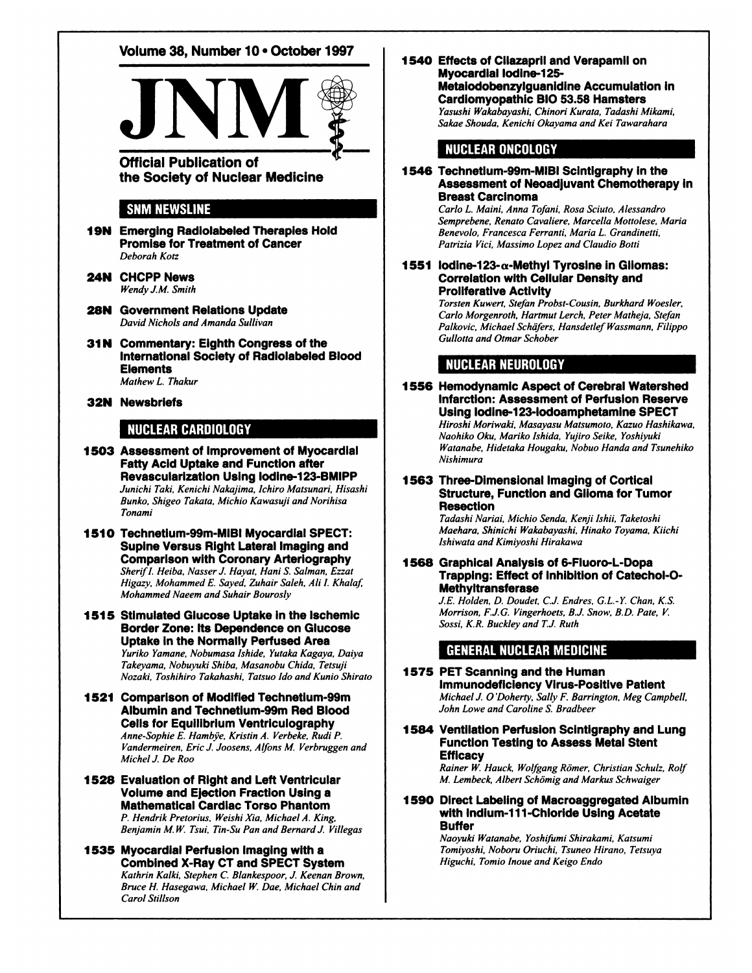# Volume 38, Number 10 · October 1997



**Official Publication of** the Society of Nuclear Medicine

## **SNM NEWSLINE**

- **19N Emerging Radiolabeled Therapies Hold** Promise for Treatment of Cancer Deborah Kotz
- 24N CHCPP News *Wendy J.M. Smith*
- **28N Government Relations Update** *David Nichols and Amanda Sullivan*
- 31N Commentary: Eighth Congress of the International Society of Radiolabeled Blood **Elements** *Mathew L. Thakur*
- **32N Newsbriefs**

## **NUCLEARCARDIOLOGY**

- **1503 Assessment of Improvement of Myocardial** Fatty Acid Uptake and Function after Revascularization Using lodine-123-BMIPP *Junichi Tuki. Kenichi Nakajima, Ichiro Matsunari, Hisashi Bunko, Shigeo Takata, Michio Kawasuji and Norihisa Tonami*
- **1510 Technetium-99m-MIBI Myocardial SPECT:** Supine Versus Right Lateral Imaging and Comparison with Coronary Arteriography *Sherifl. Heiba. Nasser J.Hayal, Hani S. Salman, Ezzat Higa:v. Mohammed E. Saved, Zuhair Saleh, AH I. Khalaf, Mohammed Naeem and Suhair Bourosly*
- **1515 Stimulated Glucose Uptake in the Ischemie** Border Zone: Its Dependence on Glucose Uptake in the Normally Perfused Area *Yuriko Yamane, Nobumasa Ishide, Yutaka Kagaya, Daiya Takeyama, Nobuyuki Shiba, Masanobu Chida, Tetsuji Nozaki, Toshihiro Takahashi, Tatsuo ¡doand Kunio Shirato*
- 1521 Comparison of Modified Technetium-99m Albumin and Technetium-99m Red Blood Cells for Equilibrium Ventriculography *Anne-Sophie E. Hambye. Kristin A. Verbeke, Rudi P. Vandermeiren, Eric J. Joosens, Alfons M. Verbruggen and Michel J. De Roo*
- **1528 Evaluation of Right and Left Ventricular** Volume and Ejection Fraction Using a Mathematical Cardiac Torso Phantom *P. Hendrik Pretorias, Weishi Xia, Michael A. King, Benjamin M. W. Tsui, Tin-Su Pan and Bernard J. Villegas*
- **1535 Myocardial Perfusion Imaging with a** Combined X-Ray CT and SPECT System *Kathrin Kalki. Stephen C. Blankespoor, J. Keenan Brown, Bruce H. Hasegawa, Michael W. Dae, Michael Chin and Carol Stillson*

**1540 Effects of Cilazapril and Verapamil on** Myocardial lodine-125- Metaiodobenzylguanidine Accumulation in Cardiomyopathic BIO 53.58 Hamsters *Yasushi Wakabayashi. Chinori Kurata, Tadashi Mikami.*

*Sakae Shouda, Kenichi Okayama and KeiTawarahara*

## **NUCLEARONCOLOGY**

**1546 Technetium-99m-MIBIScintigraphyin the** Assessment of Neoadjuvant Chemotherapy in Breast Carcinoma

*Carlo L. Maini, Anna Tofani, Rosa Scinto. Alessandro Semprebene, Renato Cavaliere, Marcella Mottolese, Maria Benevolo, Francesco Ferranti, Maria L. Grandinetti. Patrizia Vici, Massimo Lope: and Claudio Botti*

**1551 lodine-123-«-Methyl Tyrosine in Gliomas:** Correlation with Cellular Density and Proliferative Activity

*Torsten Kuwert, Stefan Probst-Cousin, Burkhard Woesler, Carlo Morgenroth, Hartmut Lerch, Peter Matheja, Stefan Palkovic, Michael Schäfers,Hansdetlef Wassmann, Filippo Cullotta and Otmar Schober*

## **NUCLEAR NEUROLOGY**

1556 Hemodynamic Aspect of Cerebral Watershed Infarction: Assessment of Perfusion Reserve Using lodine-123-lodoamphetamine SPECT *Hiroshi Moriwaki, Masayasu Matsumoto, Ka:tio Hashikawa, Naohiko Oku, Mariko Ishida, Yujiro Seike, Yoshiyuki Watanabe, Hidetaka Hougakii, Nobuo Handu and Tsunehiko Nishimura*

### 1563 Three-Dimensional Imaging of Cortical Structure, Function and Glioma for Tumor **Resection**

*Tadashi Nariai, Michio Senda, Kenji Ishii, Taketoshi Maehara, Shinichi Wakabayashi, Hinako Toyama, Kiichi Ishiwata and Kimiyoshi Hirakawa*

1568 Graphical Analysis of 6-Fluoro-L-Dopa Trapping: Effect of Inhibition of Catechol-O-Methyltransferase

*J.E. Holden. D. Daudet, C.J. Endres. G.L-Y. Chan, K.S. Morrison, F.J.G. Vingerhoets, B.J. Snow, B.D. Pate, V. Sossi, K.R. Bucklev and T.J.Ruth*

## **GENERAL NUCLEAR MEDICINE**

#### **1575 PET Scanning and the Human** Immunodeficiency Virus-Positive Patient *Michael J. O 'Doherty, Sally F. Barrington, Meg Campbell, John Lowe and Caroline S. Bradbeer*

1584 Ventilation Perfusion Scintigraphy and Lung Function Testing to Assess Metal Stent **Efficacy** 

*Rainer W. Hauck, Wolfgang Römer,Christian Schul:, Rolf M. Lembeck, Albert Schämigand Markus Schwaiger*

#### **1590 Direct Labeling of Macroaggregated Albumin** with Indium-111-Chloride Using Acetate **Buffer**

*Naoyuki Watanabe, Yoshifumi Shirakami, Katsumi Tomiyoshi, Noboru Oriuchi, Tsuneo Mirano. Tetsuya Higuchi, Tornio Inoue and Keigo Endo*